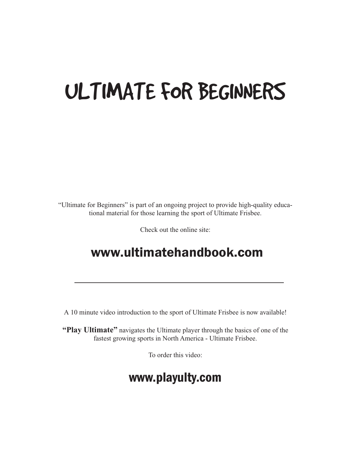# ULTIMATE FOR BEGINNERS

"Ultimate for Beginners" is part of an ongoing project to provide high-quality educational material for those learning the sport of Ultimate Frisbee.

Check out the online site:

### www.ultimatehandbook.com

A 10 minute video introduction to the sport of Ultimate Frisbee is now available!

**"Play Ultimate"** navigates the Ultimate player through the basics of one of the fastest growing sports in North America - Ultimate Frisbee.

To order this video:

### www.playulty.com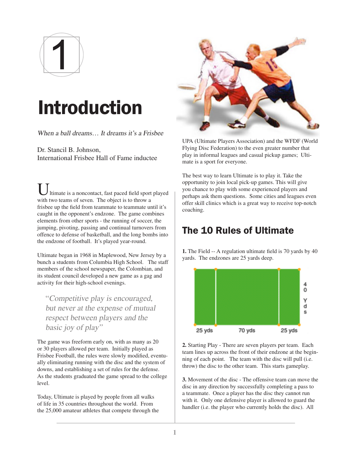

# Introduction

When a ball dreams... It dreams it's a Frisbee

Dr. Stancil B. Johnson, International Frisbee Hall of Fame inductee

Itimate is a noncontact, fast paced field sport played with two teams of seven. The object is to throw a frisbee up the field from teammate to teammate until it's caught in the opponent's endzone. The game combines elements from other sports - the running of soccer, the jumping, pivoting, passing and continual turnovers from offence to defense of basketball, and the long bombs into the endzone of football. It's played year-round.

Ultimate began in 1968 in Maplewood, New Jersey by a bunch a students from Columbia High School. The staff members of the school newspaper, the Colombian, and its student council developed a new game as a gag and activity for their high-school evenings.

"Competitive play is encouraged, but never at the expense of mutual respect between players and the basic joy of play"

The game was freeform early on, with as many as 20 or 30 players allowed per team. Initially played as Frisbee Football, the rules were slowly modified, eventually eliminating running with the disc and the system of downs, and establishing a set of rules for the defense. As the students graduated the game spread to the college level.

Today, Ultimate is played by people from all walks of life in 35 countries throughout the world. From the 25,000 amateur athletes that compete through the



UPA (Ultimate Players Association) and the WFDF (World Flying Disc Federation) to the even greater number that play in informal leagues and casual pickup games; Ultimate is a sport for everyone.

The best way to learn Ultimate is to play it. Take the opportunity to join local pick-up games. This will give you chance to play with some experienced players and perhaps ask them questions. Some cities and leagues even offer skill clinics which is a great way to receive top-notch coaching.

#### The 10 Rules of Ultimate

**1.** The Field -- A regulation ultimate field is 70 yards by 40 yards. The endzones are 25 yards deep.



**2.** Starting Play - There are seven players per team. Each team lines up across the front of their endzone at the beginning of each point. The team with the disc will pull (i.e. throw) the disc to the other team. This starts gameplay.

**3.** Movement of the disc - The offensive team can move the disc in any direction by successfully completing a pass to a teammate. Once a player has the disc they cannot run with it. Only one defensive player is allowed to guard the handler (i.e. the player who currently holds the disc). All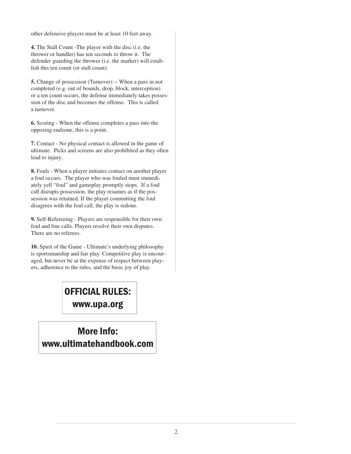other defensive players must be at least 10 feet away.

**4.** The Stall Count -The player with the disc (i.e. the thrower or handler) has ten seconds to throw it. The defender guarding the thrower (i.e. the marker) will establish this ten count (or stall count).

**5.** Change of possession (Turnover) -- When a pass in not completed (e.g. out of bounds, drop, block, interception) or a ten count occurs, the defense immediately takes possession of the disc and becomes the offense. This is called a turnover.

**6.** Scoring - When the offense completes a pass into the opposing endzone, this is a point.

**7.** Contact - No physical contact is allowed in the game of ultimate. Picks and screens are also prohibited as they often lead to injury.

**8.** Fouls - When a player initiates contact on another player a foul occurs. The player who was fouled must immediately yell "foul" and gameplay promptly stops. If a foul call disrupts possession, the play resumes as if the possession was retained. If the player committing the foul disagrees with the foul call, the play is redone.

**9.** Self-Refereeing - Players are responsible for their own foul and line calls. Players resolve their own disputes. There are no referees.

**10.** Spirit of the Game - Ultimate's underlying philosophy is sportsmanship and fair play. Competitive play is encouraged, but never be at the expense of respect between players, adherence to the rules, and the basic joy of play.

### OFFICIAL RULES: www.upa.org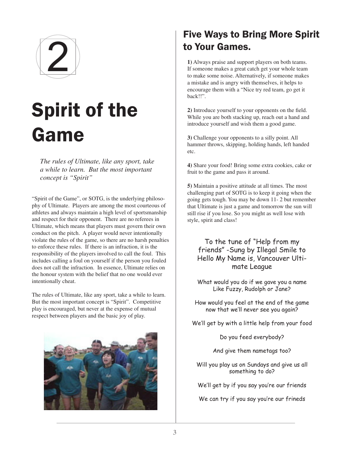

# Spirit of the Game

*The rules of Ultimate, like any sport, take a while to learn. But the most important concept is "Spirit"*

"Spirit of the Game", or SOTG, is the underlying philosophy of Ultimate. Players are among the most courteous of athletes and always maintain a high level of sportsmanship and respect for their opponent. There are no referees in Ultimate, which means that players must govern their own conduct on the pitch. A player would never intentionally violate the rules of the game, so there are no harsh penalties to enforce these rules. If there is an infraction, it is the responsibility of the players involved to call the foul. This includes calling a foul on yourself if the person you fouled does not call the infraction. In essence, Ultimate relies on the honour system with the belief that no one would ever intentionally cheat.

The rules of Ultimate, like any sport, take a while to learn. But the most important concept is "Spirit". Competitive play is encouraged, but never at the expense of mutual respect between players and the basic joy of play.



### Five Ways to Bring More Spirit to Your Games.

**1)** Always praise and support players on both teams. If someone makes a great catch get your whole team to make some noise. Alternatively, if someone makes a mistake and is angry with themselves, it helps to encourage them with a "Nice try red team, go get it back!!".

**2)** Introduce yourself to your opponents on the field. While you are both stacking up, reach out a hand and introduce yourself and wish them a good game.

**3)** Challenge your opponents to a silly point. All hammer throws, skipping, holding hands, left handed etc.

**4)** Share your food! Bring some extra cookies, cake or fruit to the game and pass it around.

**5)** Maintain a positive attitude at all times. The most challenging part of SOTG is to keep it going when the going gets tough. You may be down 11- 2 but remember that Ultimate is just a game and tomorrow the sun will still rise if you lose. So you might as well lose with style, spirit and class!

To the tune of "Help from my friends" -Sung by Illegal Smile to Hello My Name is, Vancouver Ultimate League

What would you do if we gave you a name Like Fuzzy, Rudolph or Jane?

How would you feel at the end of the game now that we'll never see you again?

We'll get by with a little help from your food

Do you feed everybody?

And give them nametags too?

Will you play us on Sundays and give us all something to do?

We'll get by if you say you're our friends

We can try if you say you're our frineds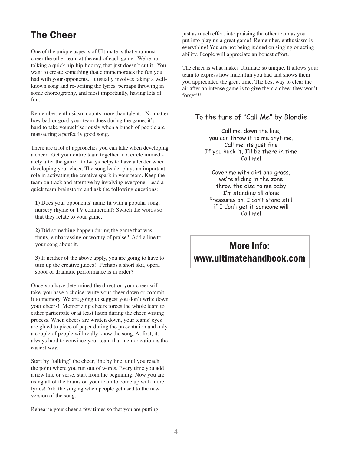### The Cheer

One of the unique aspects of Ultimate is that you must cheer the other team at the end of each game. We're not talking a quick hip-hip-hooray, that just doesn't cut it. You want to create something that commemorates the fun you had with your opponents. It usually involves taking a wellknown song and re-writing the lyrics, perhaps throwing in some choreography, and most importantly, having lots of fun.

Remember, enthusiasm counts more than talent. No matter how bad or good your team does during the game, it's hard to take yourself seriously when a bunch of people are massacring a perfectly good song.

There are a lot of approaches you can take when developing a cheer. Get your entire team together in a circle immediately after the game. It always helps to have a leader when developing your cheer. The song leader plays an important role in activating the creative spark in your team. Keep the team on track and attentive by involving everyone. Lead a quick team brainstorm and ask the following questions:

**1)** Does your opponents' name fit with a popular song, nursery rhyme or TV commercial? Switch the words so that they relate to your game.

**2)** Did something happen during the game that was funny, embarrassing or worthy of praise? Add a line to your song about it.

**3)** If neither of the above apply, you are going to have to turn up the creative juices!! Perhaps a short skit, opera spoof or dramatic performance is in order?

Once you have determined the direction your cheer will take, you have a choice: write your cheer down or commit it to memory. We are going to suggest you don't write down your cheers! Memorizing cheers forces the whole team to either participate or at least listen during the cheer writing process. When cheers are written down, your teams' eyes are glued to piece of paper during the presentation and only a couple of people will really know the song. At first, its always hard to convince your team that memorization is the easiest way.

Start by "talking" the cheer, line by line, until you reach the point where you run out of words. Every time you add a new line or verse, start from the beginning. Now you are using all of the brains on your team to come up with more lyrics! Add the singing when people get used to the new version of the song.

Rehearse your cheer a few times so that you are putting

just as much effort into praising the other team as you put into playing a great game! Remember, enthusiasm is everything! You are not being judged on singing or acting ability. People will appreciate an honest effort.

The cheer is what makes Ultimate so unique. It allows your team to express how much fun you had and shows them you appreciated the great time. The best way to clear the air after an intense game is to give them a cheer they won't forget!!!

#### To the tune of "Call Me" by Blondie

Call me, down the line, you can throw it to me anytime, Call me, its just fine If you huck it, I'll be there in time Call me!

Cover me with dirt and grass, we're sliding in the zone throw the disc to me baby I'm standing all alone Pressures on, I can't stand still if I don't get it someone will Call me!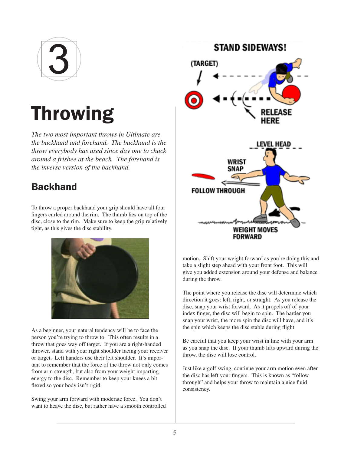

# Throwing

*The two most important throws in Ultimate are the backhand and forehand. The backhand is the throw everybody has used since day one to chuck around a frisbee at the beach. The forehand is the inverse version of the backhand.*

#### Backhand

To throw a proper backhand your grip should have all four fingers curled around the rim. The thumb lies on top of the disc, close to the rim. Make sure to keep the grip relatively tight, as this gives the disc stability.



As a beginner, your natural tendency will be to face the person you're trying to throw to. This often results in a throw that goes way off target. If you are a right-handed thrower, stand with your right shoulder facing your receiver or target. Left handers use their left shoulder. It's important to remember that the force of the throw not only comes from arm strength, but also from your weight imparting energy to the disc. Remember to keep your knees a bit flexed so your body isn't rigid.

Swing your arm forward with moderate force. You don't want to heave the disc, but rather have a smooth controlled



motion. Shift your weight forward as you're doing this and take a slight step ahead with your front foot. This will give you added extension around your defense and balance during the throw.

The point where you release the disc will determine which direction it goes: left, right, or straight. As you release the disc, snap your wrist forward. As it propels off of your index finger, the disc will begin to spin. The harder you snap your wrist, the more spin the disc will have, and it's the spin which keeps the disc stable during flight.

Be careful that you keep your wrist in line with your arm as you snap the disc. If your thumb lifts upward during the throw, the disc will lose control.

Just like a golf swing, continue your arm motion even after the disc has left your fingers. This is known as "follow through" and helps your throw to maintain a nice fluid consistency.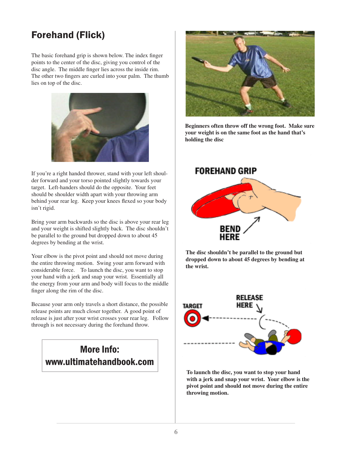### Forehand (Flick)

The basic forehand grip is shown below. The index finger points to the center of the disc, giving you control of the disc angle. The middle finger lies across the inside rim. The other two fingers are curled into your palm. The thumb lies on top of the disc.



If you're a right handed thrower, stand with your left shoulder forward and your torso pointed slightly towards your target. Left-handers should do the opposite. Your feet should be shoulder width apart with your throwing arm behind your rear leg. Keep your knees flexed so your body isn't rigid.

Bring your arm backwards so the disc is above your rear leg and your weight is shifted slightly back. The disc shouldn't be parallel to the ground but dropped down to about 45 degrees by bending at the wrist.

Your elbow is the pivot point and should not move during the entire throwing motion. Swing your arm forward with considerable force. To launch the disc, you want to stop your hand with a jerk and snap your wrist. Essentially all the energy from your arm and body will focus to the middle finger along the rim of the disc.

Because your arm only travels a short distance, the possible release points are much closer together. A good point of release is just after your wrist crosses your rear leg. Follow through is not necessary during the forehand throw.

#### More Info: www.ultimatehandbook.com



**Beginners often throw off the wrong foot. Make sure your weight is on the same foot as the hand that's holding the disc**



**The disc shouldn't be parallel to the ground but dropped down to about 45 degrees by bending at the wrist.**



**To launch the disc, you want to stop your hand with a jerk and snap your wrist. Your elbow is the pivot point and should not move during the entire throwing motion.**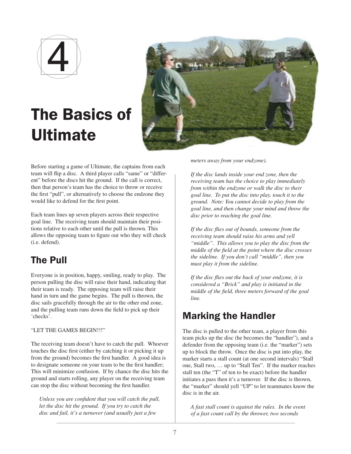

## The Basics of Ultimate



Before starting a game of Ultimate, the captains from each team will flip a disc. A third player calls "same" or "different" before the discs hit the ground. If the call is correct, then that person's team has the choice to throw or receive the first "pull", or alternatively to choose the endzone they would like to defend for the first point.

Each team lines up seven players across their respective goal line. The receiving team should maintain their positions relative to each other until the pull is thrown. This allows the opposing team to figure out who they will check (i.e. defend).

#### The Pull

Everyone is in position, happy, smiling, ready to play. The person pulling the disc will raise their hand, indicating that their team is ready. The opposing team will raise their hand in turn and the game begins. The pull is thrown, the disc sails gracefully through the air to the other end zone, and the pulling team runs down the field to pick up their 'checks'.

"LET THE GAMES BEGIN!!!"

The receiving team doesn't have to catch the pull. Whoever touches the disc first (either by catching it or picking it up from the ground) becomes the first handler. A good idea is to designate someone on your team to be the first handler; This will minimize confusion. If by chance the disc hits the ground and starts rolling, any player on the receiving team can stop the disc without becoming the first handler.

*Unless you are confident that you will catch the pull, let the disc hit the ground. If you try to catch the disc and fail, it's a turnover (and usually just a few* 

*meters away from your endzone).*

*If the disc lands inside your end zone, then the receiving team has the choice to play immediately from within the endzone or walk the disc to their goal line. To put the disc into play, touch it to the ground. Note: You cannot decide to play from the goal line, and then change your mind and throw the disc prior to reaching the goal line.*

*If the disc flies out of bounds, someone from the receiving team should raise his arms and yell "middle". This allows you to play the disc from the middle of the field at the point where the disc crosses the sideline. If you don't call "middle", then you must play it from the sideline.*

*If the disc flies out the back of your endzone, it is considered a "Brick" and play is initiated in the middle of the field, three meters forward of the goal line.* 

#### Marking the Handler

The disc is pulled to the other team, a player from this team picks up the disc (he becomes the "handler"), and a defender from the opposing team (i.e. the "marker") sets up to block the throw. Once the disc is put into play, the marker starts a stall count (at one second intervals) "Stall one, Stall two, … up to "Stall Ten". If the marker reaches stall ten (the "T" of ten to be exact) before the handler initiates a pass then it's a turnover. If the disc is thrown, the "marker" should yell "UP" to let teammates know the disc is in the air.

*A fast stall count is against the rules. In the event of a fast count call by the thrower, two seconds*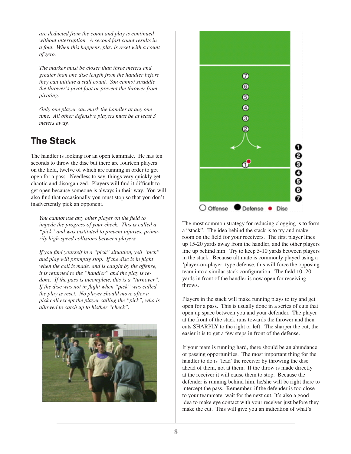*are deducted from the count and play is continued without interruption. A second fast count results in a foul. When this happens, play is reset with a count of zero.*

*The marker must be closer than three meters and greater than one disc length from the handler before they can initiate a stall count. You cannot straddle the thrower's pivot foot or prevent the thrower from pivoting.* 

*Only one player can mark the handler at any one time. All other defensive players must be at least 3 meters away.*

### The Stack

The handler is looking for an open teammate. He has ten seconds to throw the disc but there are fourteen players on the field, twelve of which are running in order to get open for a pass. Needless to say, things very quickly get chaotic and disorganized. Players will find it difficult to get open because someone is always in their way. You will also find that occasionally you must stop so that you don't inadvertently pick an opponent.

*You cannot use any other player on the field to impede the progress of your check. This is called a "pick" and was instituted to prevent injuries, primarily high-speed collisions between players.* 

*If you find yourself in a "pick" situation, yell "pick" and play will promptly stop. If the disc is in flight when the call is made, and is caught by the offense, it is returned to the "handler" and the play is redone. If the pass is incomplete, this is a "turnover". If the disc was not in flight when "pick" was called, the play is reset. No player should move after a pick call except the player calling the "pick", who is allowed to catch up to his/her "check".* 





The most common strategy for reducing clogging is to form a "stack". The idea behind the stack is to try and make room on the field for your receivers. The first player lines up 15-20 yards away from the handler, and the other players line up behind him. Try to keep 5-10 yards between players in the stack. Because ultimate is commonly played using a 'player-on-player' type defense, this will force the opposing team into a similar stack configuration. The field 10 -20 yards in front of the handler is now open for receiving throws.

Players in the stack will make running plays to try and get open for a pass. This is usually done in a series of cuts that open up space between you and your defender. The player at the front of the stack runs towards the thrower and then cuts SHARPLY to the right or left. The sharper the cut, the easier it is to get a few steps in front of the defense.

If your team is running hard, there should be an abundance of passing opportunities. The most important thing for the handler to do is 'lead' the receiver by throwing the disc ahead of them, not at them. If the throw is made directly at the receiver it will cause them to stop. Because the defender is running behind him, he/she will be right there to intercept the pass. Remember, if the defender is too close to your teammate, wait for the next cut. It's also a good idea to make eye contact with your receiver just before they make the cut. This will give you an indication of what's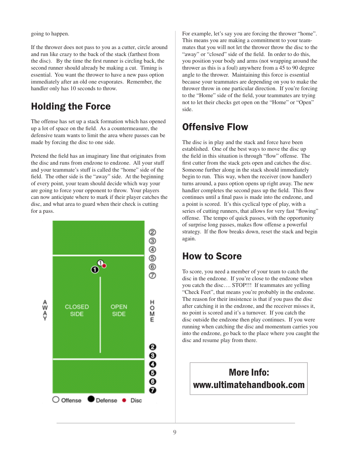going to happen.

If the thrower does not pass to you as a cutter, circle around and run like crazy to the back of the stack (farthest from the disc). By the time the first runner is circling back, the second runner should already be making a cut. Timing is essential. You want the thrower to have a new pass option immediately after an old one evaporates. Remember, the handler only has 10 seconds to throw.

#### Holding the Force

The offense has set up a stack formation which has opened up a lot of space on the field. As a countermeasure, the defensive team wants to limit the area where passes can be made by forcing the disc to one side.

Pretend the field has an imaginary line that originates from the disc and runs from endzone to endzone. All your stuff and your teammate's stuff is called the "home" side of the field. The other side is the "away" side. At the beginning of every point, your team should decide which way your are going to force your opponent to throw. Your players can now anticipate where to mark if their player catches the disc, and what area to guard when their check is cutting for a pass.



For example, let's say you are forcing the thrower "home". This means you are making a commitment to your teammates that you will not let the thrower throw the disc to the "away" or "closed" side of the field. In order to do this, you position your body and arms (not wrapping around the thrower as this is a foul) anywhere from a 45 to 90 degree angle to the thrower. Maintaining this force is essential because your teammates are depending on you to make the thrower throw in one particular direction. If you're forcing to the "Home" side of the field, your teammates are trying not to let their checks get open on the "Home" or "Open" side.

#### Offensive Flow

The disc is in play and the stack and force have been established. One of the best ways to move the disc up the field in this situation is through "flow" offense. The first cutter from the stack gets open and catches the disc. Someone further along in the stack should immediately begin to run. This way, when the receiver (now handler) turns around, a pass option opens up right away. The new handler completes the second pass up the field. This flow continues until a final pass is made into the endzone, and a point is scored. It's this cyclical type of play, with a series of cutting runners, that allows for very fast "flowing" offense. The tempo of quick passes, with the opportunity of surprise long passes, makes flow offense a powerful strategy. If the flow breaks down, reset the stack and begin again.

#### How to Score

To score, you need a member of your team to catch the disc in the endzone. If you're close to the endzone when you catch the disc…. STOP!!! If teammates are yelling "Check Feet", that means you're probably in the endzone. The reason for their insistence is that if you pass the disc after catching it in the endzone, and the receiver misses it, no point is scored and it's a turnover. If you catch the disc outside the endzone then play continues. If you were running when catching the disc and momentum carries you into the endzone, go back to the place where you caught the disc and resume play from there.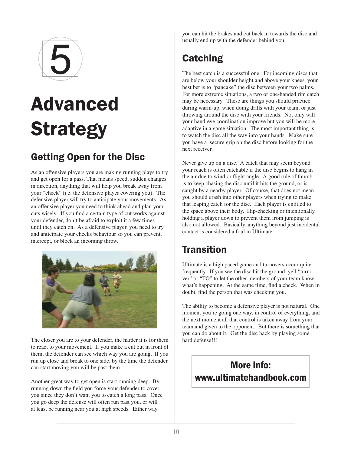

# Advanced **Strategy**

### Getting Open for the Disc

As an offensive players you are making running plays to try and get open for a pass. That means speed, sudden changes in direction, anything that will help you break away from your "check" (i.e. the defensive player covering you). The defensive player will try to anticipate your movements. As an offensive player you need to think ahead and plan your cuts wisely. If you find a certain type of cut works against your defender, don't be afraid to exploit it a few times until they catch on. As a defensive player, you need to try and anticipate your checks behaviour so you can prevent, intercept, or block an incoming throw.



The closer you are to your defender, the harder it is for them to react to your movement. If you make a cut out in front of them, the defender can see which way you are going. If you run up close and break to one side, by the time the defender can start moving you will be past them.

Another great way to get open is start running deep. By running down the field you force your defender to cover you since they don't want you to catch a long pass. Once you go deep the defense will often run past you, or will at least be running near you at high speeds. Either way

you can hit the brakes and cut back in towards the disc and usually end up with the defender behind you.

### **Catching**

The best catch is a successful one. For incoming discs that are below your shoulder height and above your knees, your best bet is to "pancake" the disc between your two palms. For more extreme situations, a two or one-handed rim catch may be necessary. These are things you should practice during warm-up, when doing drills with your team, or just throwing around the disc with your friends. Not only will your hand-eye coordination improve but you will be more adaptive in a game situation. The most important thing is to watch the disc all the way into your hands. Make sure you have a secure grip on the disc before looking for the next receiver.

Never give up on a disc. A catch that may seem beyond your reach is often catchable if the disc begins to hang in the air due to wind or flight angle. A good rule of thumb is to keep chasing the disc until it hits the ground, or is caught by a nearby player. Of course, that does not mean you should crash into other players when trying to make that leaping catch for the disc. Each player is entitled to the space above their body. Hip-checking or intentionally holding a player down to prevent them from jumping is also not allowed. Basically, anything beyond just incidental contact is considered a foul in Ultimate.

#### **Transition**

Ultimate is a high paced game and turnovers occur quite frequently. If you see the disc hit the ground, yell "turnover" or "TO" to let the other members of your team know what's happening. At the same time, find a check. When in doubt, find the person that was checking you.

The ability to become a defensive player is not natural. One moment you're going one way, in control of everything, and the next moment all that control is taken away from your team and given to the opponent. But there is something that you can do about it. Get the disc back by playing some hard defense!!!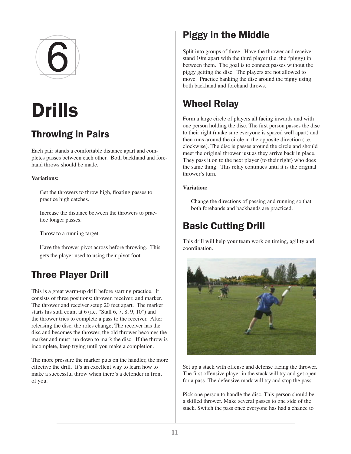

# Drills

### Throwing in Pairs

Each pair stands a comfortable distance apart and completes passes between each other. Both backhand and forehand throws should be made.

#### **Variations:**

Get the throwers to throw high, floating passes to practice high catches.

Increase the distance between the throwers to practice longer passes.

Throw to a running target.

Have the thrower pivot across before throwing. This gets the player used to using their pivot foot.

#### Three Player Drill

This is a great warm-up drill before starting practice. It consists of three positions: thrower, receiver, and marker. The thrower and receiver setup 20 feet apart. The marker starts his stall count at 6 (i.e. "Stall 6, 7, 8, 9, 10") and the thrower tries to complete a pass to the receiver. After releasing the disc, the roles change; The receiver has the disc and becomes the thrower, the old thrower becomes the marker and must run down to mark the disc. If the throw is incomplete, keep trying until you make a completion.

The more pressure the marker puts on the handler, the more effective the drill. It's an excellent way to learn how to make a successful throw when there's a defender in front of you.

### Piggy in the Middle

Split into groups of three. Have the thrower and receiver stand 10m apart with the third player (i.e. the "piggy) in between them. The goal is to connect passes without the piggy getting the disc. The players are not allowed to move. Practice banking the disc around the piggy using both backhand and forehand throws.

#### Wheel Relay

Form a large circle of players all facing inwards and with one person holding the disc. The first person passes the disc to their right (make sure everyone is spaced well apart) and then runs around the circle in the opposite direction (i.e. clockwise). The disc is passes around the circle and should meet the original thrower just as they arrive back in place. They pass it on to the next player (to their right) who does the same thing. This relay continues until it is the original thrower's turn.

#### **Variation:**

Change the directions of passing and running so that both forehands and backhands are practiced.

#### Basic Cutting Drill

This drill will help your team work on timing, agility and coordination.



Set up a stack with offense and defense facing the thrower. The first offensive player in the stack will try and get open for a pass. The defensive mark will try and stop the pass.

Pick one person to handle the disc. This person should be a skilled thrower. Make several passes to one side of the stack. Switch the pass once everyone has had a chance to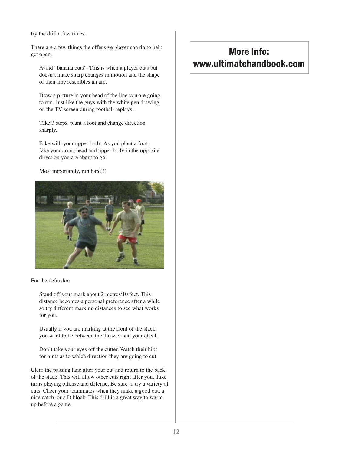try the drill a few times.

There are a few things the offensive player can do to help get open.

Avoid "banana cuts". This is when a player cuts but doesn't make sharp changes in motion and the shape of their line resembles an arc.

Draw a picture in your head of the line you are going to run. Just like the guys with the white pen drawing on the TV screen during football replays!

Take 3 steps, plant a foot and change direction sharply.

Fake with your upper body. As you plant a foot, fake your arms, head and upper body in the opposite direction you are about to go.

Most importantly, run hard!!!



For the defender:

Stand off your mark about 2 metres/10 feet. This distance becomes a personal preference after a while so try different marking distances to see what works for you.

Usually if you are marking at the front of the stack, you want to be between the thrower and your check.

Don't take your eyes off the cutter. Watch their hips for hints as to which direction they are going to cut

Clear the passing lane after your cut and return to the back of the stack. This will allow other cuts right after you. Take turns playing offense and defense. Be sure to try a variety of cuts. Cheer your teammates when they make a good cut, a nice catch or a D block. This drill is a great way to warm up before a game.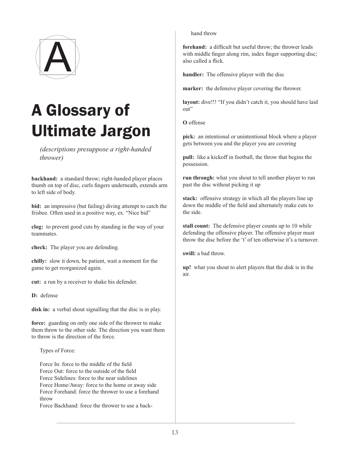

## A Glossary of Ultimate Jargon

*(descriptions presuppose a right-handed thrower)*

**backhand:** a standard throw; right-handed player places thumb on top of disc, curls fingers underneath, extends arm to left side of body.

**bid:** an impressive (but failing) diving attempt to catch the frisbee. Often used in a positive way, ex. "Nice bid"

**clog:** to prevent good cuts by standing in the way of your teammates.

**check:** The player you are defending.

**chilly:** slow it down, be patient, wait a moment for the game to get reorganized again.

**cut:** a run by a receiver to shake his defender.

**D:** defense

**disk in:** a verbal shout signalling that the disc is in play.

**force:** guarding on only one side of the thrower to make them throw to the other side. The direction you want them to throw is the direction of the force.

Types of Force:

Force In: force to the middle of the field Force Out: force to the outside of the field Force Sidelines: force to the near sidelines Force Home/Away: force to the home or away side Force Forehand: force the thrower to use a forehand throw

Force Backhand: force the thrower to use a back-

hand throw

**forehand:** a difficult but useful throw; the thrower leads with middle finger along rim, index finger supporting disc; also called a flick.

**handler:** The offensive player with the disc

**marker:** the defensive player covering the thrower.

**layout:** dive!!! "If you didn't catch it, you should have laid out"

**O** offense

**pick:** an intentional or unintentional block where a player gets between you and the player you are covering

**pull:** like a kickoff in football, the throw that begins the possession.

**run through:** what you shout to tell another player to run past the disc without picking it up

**stack:** offensive strategy in which all the players line up down the middle of the field and alternately make cuts to the side.

**stall count:** The defensive player counts up to 10 while defending the offensive player. The offensive player must throw the disc before the 't' of ten otherwise it's a turnover.

**swill:** a bad throw.

**up!** what you shout to alert players that the disk is in the air.